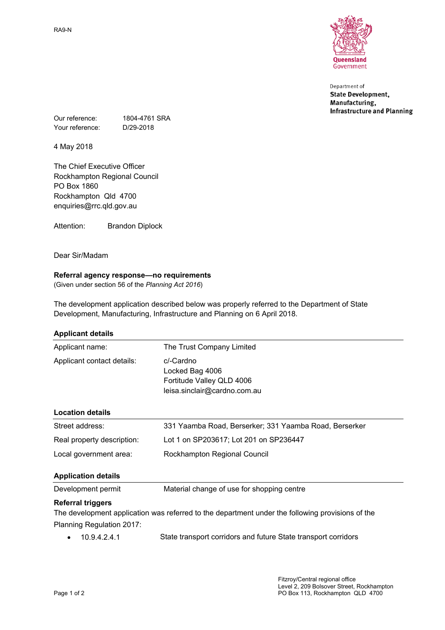RA9-N



Department of **State Development,** Manufacturing, **Infrastructure and Planning** 

Our reference: 1804-4761 SRA Your reference: D/29-2018

4 May 2018

The Chief Executive Officer Rockhampton Regional Council PO Box 1860 Rockhampton Qld 4700 enquiries@rrc.qld.gov.au

Attention: Brandon Diplock

Dear Sir/Madam

# **Referral agency response—no requirements**

(Given under section 56 of the *Planning Act 2016*)

The development application described below was properly referred to the Department of State Development, Manufacturing, Infrastructure and Planning on 6 April 2018.

### **Applicant details**

| Applicant name:            | The Trust Company Limited                                                                 |
|----------------------------|-------------------------------------------------------------------------------------------|
| Applicant contact details: | c/-Cardno<br>Locked Bag 4006<br>Fortitude Valley QLD 4006<br>leisa.sinclair@cardno.com.au |
| <b>Location details</b>    |                                                                                           |

| Street address: | 331 Yaam |
|-----------------|----------|

| Street address:            | 331 Yaamba Road, Berserker; 331 Yaamba Road, Berserker |
|----------------------------|--------------------------------------------------------|
| Real property description: | Lot 1 on SP203617; Lot 201 on SP236447                 |
| Local government area:     | Rockhampton Regional Council                           |

# **Application details**

Development permit Material change of use for shopping centre

# **Referral triggers**

The development application was referred to the department under the following provisions of the Planning Regulation 2017:

10.9.4.2.4.1 State transport corridors and future State transport corridors